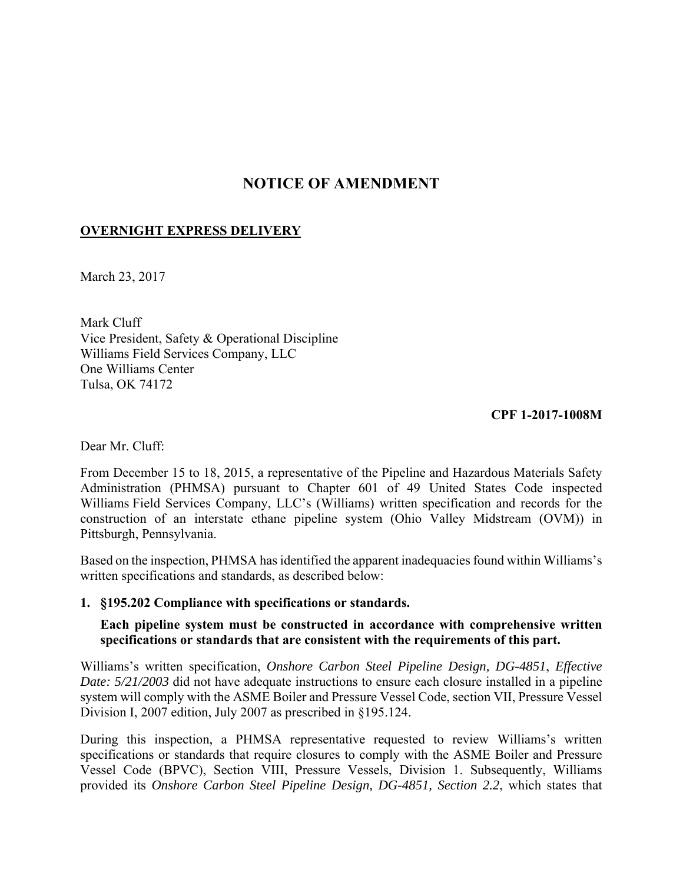# **NOTICE OF AMENDMENT**

# **OVERNIGHT EXPRESS DELIVERY**

March 23, 2017

Mark Cluff Vice President, Safety & Operational Discipline Williams Field Services Company, LLC One Williams Center Tulsa, OK 74172

**CPF 1-2017-1008M** 

Dear Mr. Cluff:

From December 15 to 18, 2015, a representative of the Pipeline and Hazardous Materials Safety Administration (PHMSA) pursuant to Chapter 601 of 49 United States Code inspected Williams Field Services Company, LLC's (Williams) written specification and records for the construction of an interstate ethane pipeline system (Ohio Valley Midstream (OVM)) in Pittsburgh, Pennsylvania.

Based on the inspection, PHMSA has identified the apparent inadequacies found within Williams's written specifications and standards, as described below:

### **1. §195.202 Compliance with specifications or standards.**

**Each pipeline system must be constructed in accordance with comprehensive written specifications or standards that are consistent with the requirements of this part.** 

Williams's written specification, *Onshore Carbon Steel Pipeline Design, DG-4851*, *Effective Date: 5/21/2003* did not have adequate instructions to ensure each closure installed in a pipeline system will comply with the ASME Boiler and Pressure Vessel Code, section VII, Pressure Vessel Division I, 2007 edition, July 2007 as prescribed in §195.124.

During this inspection, a PHMSA representative requested to review Williams's written specifications or standards that require closures to comply with the ASME Boiler and Pressure Vessel Code (BPVC), Section VIII, Pressure Vessels, Division 1. Subsequently, Williams provided its *Onshore Carbon Steel Pipeline Design, DG-4851, Section 2.2*, which states that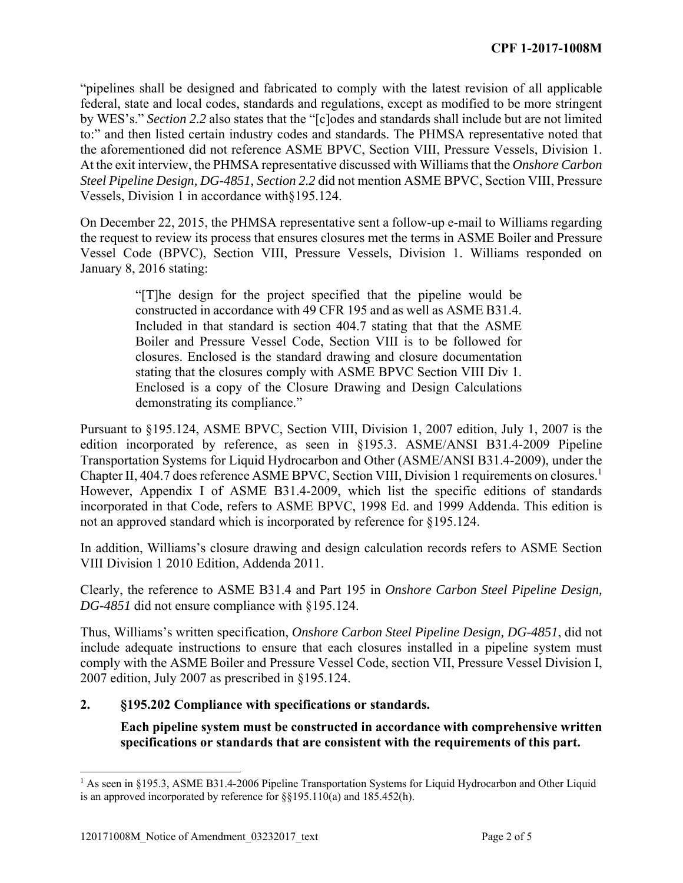"pipelines shall be designed and fabricated to comply with the latest revision of all applicable federal, state and local codes, standards and regulations, except as modified to be more stringent by WES's." *Section 2.2* also states that the "[c]odes and standards shall include but are not limited to:" and then listed certain industry codes and standards. The PHMSA representative noted that the aforementioned did not reference ASME BPVC, Section VIII, Pressure Vessels, Division 1. At the exit interview, the PHMSA representative discussed with Williams that the *Onshore Carbon Steel Pipeline Design, DG-4851, Section 2.2* did not mention ASME BPVC, Section VIII, Pressure Vessels, Division 1 in accordance with§195.124.

On December 22, 2015, the PHMSA representative sent a follow-up e-mail to Williams regarding the request to review its process that ensures closures met the terms in ASME Boiler and Pressure Vessel Code (BPVC), Section VIII, Pressure Vessels, Division 1. Williams responded on January 8, 2016 stating:

> "[T]he design for the project specified that the pipeline would be constructed in accordance with 49 CFR 195 and as well as ASME B31.4. Included in that standard is section 404.7 stating that that the ASME Boiler and Pressure Vessel Code, Section VIII is to be followed for closures. Enclosed is the standard drawing and closure documentation stating that the closures comply with ASME BPVC Section VIII Div 1. Enclosed is a copy of the Closure Drawing and Design Calculations demonstrating its compliance."

Pursuant to §195.124, ASME BPVC, Section VIII, Division 1, 2007 edition, July 1, 2007 is the edition incorporated by reference, as seen in §195.3. ASME/ANSI B31.4-2009 Pipeline Transportation Systems for Liquid Hydrocarbon and Other (ASME/ANSI B31.4-2009), under the Chapter II, 404.7 does reference ASME BPVC, Section VIII, Division 1 requirements on closures.1 However, Appendix I of ASME B31.4-2009, which list the specific editions of standards incorporated in that Code, refers to ASME BPVC, 1998 Ed. and 1999 Addenda. This edition is not an approved standard which is incorporated by reference for §195.124.

In addition, Williams's closure drawing and design calculation records refers to ASME Section VIII Division 1 2010 Edition, Addenda 2011.

Clearly, the reference to ASME B31.4 and Part 195 in *Onshore Carbon Steel Pipeline Design, DG-4851* did not ensure compliance with §195.124.

Thus, Williams's written specification, *Onshore Carbon Steel Pipeline Design, DG-4851*, did not include adequate instructions to ensure that each closures installed in a pipeline system must comply with the ASME Boiler and Pressure Vessel Code, section VII, Pressure Vessel Division I, 2007 edition, July 2007 as prescribed in §195.124.

# **2. §195.202 Compliance with specifications or standards.**

 **Each pipeline system must be constructed in accordance with comprehensive written specifications or standards that are consistent with the requirements of this part.** 

 $\overline{a}$ 

<sup>&</sup>lt;sup>1</sup> As seen in §195.3, ASME B31.4-2006 Pipeline Transportation Systems for Liquid Hydrocarbon and Other Liquid is an approved incorporated by reference for §§195.110(a) and 185.452(h).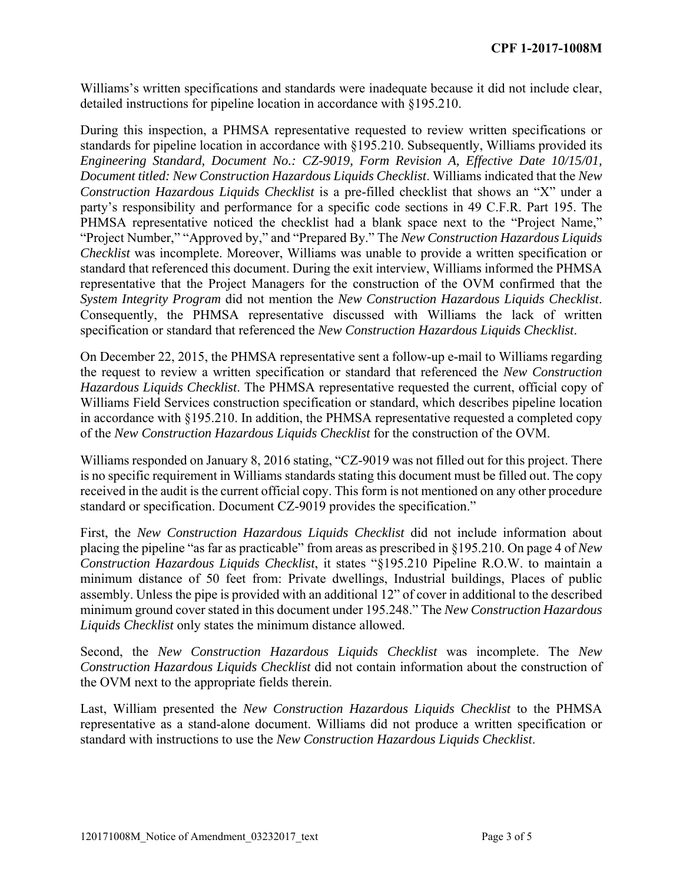Williams's written specifications and standards were inadequate because it did not include clear, detailed instructions for pipeline location in accordance with §195.210.

During this inspection, a PHMSA representative requested to review written specifications or standards for pipeline location in accordance with §195.210. Subsequently, Williams provided its *Engineering Standard, Document No.: CZ-9019, Form Revision A, Effective Date 10/15/01, Document titled: New Construction Hazardous Liquids Checklist*. Williams indicated that the *New Construction Hazardous Liquids Checklist* is a pre-filled checklist that shows an "X" under a party's responsibility and performance for a specific code sections in 49 C.F.R. Part 195. The PHMSA representative noticed the checklist had a blank space next to the "Project Name," "Project Number," "Approved by," and "Prepared By." The *New Construction Hazardous Liquids Checklist* was incomplete. Moreover, Williams was unable to provide a written specification or standard that referenced this document. During the exit interview, Williams informed the PHMSA representative that the Project Managers for the construction of the OVM confirmed that the *System Integrity Program* did not mention the *New Construction Hazardous Liquids Checklist*. Consequently, the PHMSA representative discussed with Williams the lack of written specification or standard that referenced the *New Construction Hazardous Liquids Checklist*.

On December 22, 2015, the PHMSA representative sent a follow-up e-mail to Williams regarding the request to review a written specification or standard that referenced the *New Construction Hazardous Liquids Checklist*. The PHMSA representative requested the current, official copy of Williams Field Services construction specification or standard, which describes pipeline location in accordance with §195.210. In addition, the PHMSA representative requested a completed copy of the *New Construction Hazardous Liquids Checklist* for the construction of the OVM.

Williams responded on January 8, 2016 stating, "CZ-9019 was not filled out for this project. There is no specific requirement in Williams standards stating this document must be filled out. The copy received in the audit is the current official copy. This form is not mentioned on any other procedure standard or specification. Document CZ-9019 provides the specification."

First, the *New Construction Hazardous Liquids Checklist* did not include information about placing the pipeline "as far as practicable" from areas as prescribed in §195.210. On page 4 of *New Construction Hazardous Liquids Checklist*, it states "§195.210 Pipeline R.O.W. to maintain a minimum distance of 50 feet from: Private dwellings, Industrial buildings, Places of public assembly. Unless the pipe is provided with an additional 12" of cover in additional to the described minimum ground cover stated in this document under 195.248." The *New Construction Hazardous Liquids Checklist* only states the minimum distance allowed.

Second, the *New Construction Hazardous Liquids Checklist* was incomplete. The *New Construction Hazardous Liquids Checklist* did not contain information about the construction of the OVM next to the appropriate fields therein.

Last, William presented the *New Construction Hazardous Liquids Checklist* to the PHMSA representative as a stand-alone document. Williams did not produce a written specification or standard with instructions to use the *New Construction Hazardous Liquids Checklist*.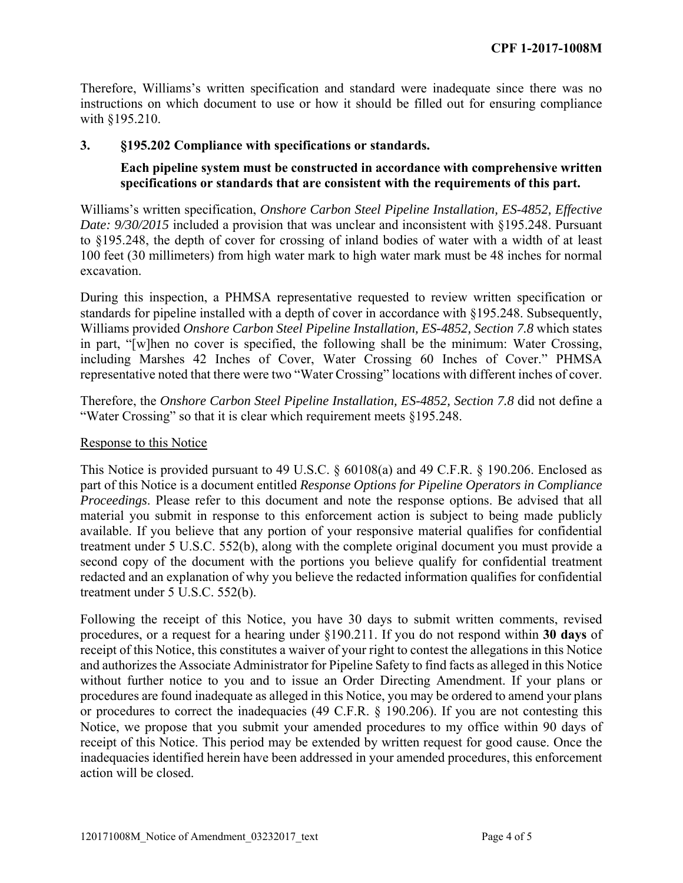Therefore, Williams's written specification and standard were inadequate since there was no instructions on which document to use or how it should be filled out for ensuring compliance with §195.210.

#### **3. §195.202 Compliance with specifications or standards.**

### **Each pipeline system must be constructed in accordance with comprehensive written specifications or standards that are consistent with the requirements of this part.**

Williams's written specification, *Onshore Carbon Steel Pipeline Installation, ES-4852, Effective Date: 9/30/2015* included a provision that was unclear and inconsistent with §195.248. Pursuant to §195.248, the depth of cover for crossing of inland bodies of water with a width of at least 100 feet (30 millimeters) from high water mark to high water mark must be 48 inches for normal excavation.

During this inspection, a PHMSA representative requested to review written specification or standards for pipeline installed with a depth of cover in accordance with §195.248. Subsequently, Williams provided *Onshore Carbon Steel Pipeline Installation, ES-4852, Section 7.8* which states in part, "[w]hen no cover is specified, the following shall be the minimum: Water Crossing, including Marshes 42 Inches of Cover, Water Crossing 60 Inches of Cover." PHMSA representative noted that there were two "Water Crossing" locations with different inches of cover.

Therefore, the *Onshore Carbon Steel Pipeline Installation, ES-4852, Section 7.8* did not define a "Water Crossing" so that it is clear which requirement meets §195.248.

#### Response to this Notice

This Notice is provided pursuant to 49 U.S.C. § 60108(a) and 49 C.F.R. § 190.206. Enclosed as part of this Notice is a document entitled *Response Options for Pipeline Operators in Compliance Proceedings*. Please refer to this document and note the response options. Be advised that all material you submit in response to this enforcement action is subject to being made publicly available. If you believe that any portion of your responsive material qualifies for confidential treatment under 5 U.S.C. 552(b), along with the complete original document you must provide a second copy of the document with the portions you believe qualify for confidential treatment redacted and an explanation of why you believe the redacted information qualifies for confidential treatment under 5 U.S.C. 552(b).

Following the receipt of this Notice, you have 30 days to submit written comments, revised procedures, or a request for a hearing under §190.211. If you do not respond within **30 days** of receipt of this Notice, this constitutes a waiver of your right to contest the allegations in this Notice and authorizes the Associate Administrator for Pipeline Safety to find facts as alleged in this Notice without further notice to you and to issue an Order Directing Amendment. If your plans or procedures are found inadequate as alleged in this Notice, you may be ordered to amend your plans or procedures to correct the inadequacies (49 C.F.R. § 190.206). If you are not contesting this Notice, we propose that you submit your amended procedures to my office within 90 days of receipt of this Notice. This period may be extended by written request for good cause. Once the inadequacies identified herein have been addressed in your amended procedures, this enforcement action will be closed.